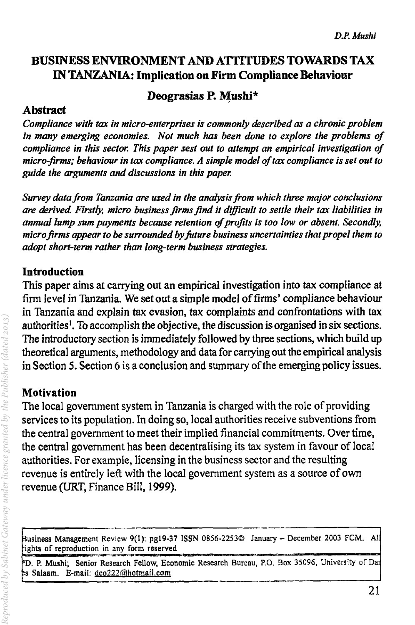## BUSINESS ENVIRONMENT AND ATTITUDES TOWARDS TAX IN TANZANIA: Implication on Firm Compliance Behaviour

## Deograsias P. Mushi\*

### Abstract

*Compliance with tax in micro-enterprises is commonly described as a chronic problem in many emerging economies. Not much has been done to explore the problems of compliance in this sector. This paper sest out to attempt an empirical investigation of micro-firms; behaviour in tax compliance. A simple model of tax compliance is set out to guide the arguments and discussions in this paper.* 

*Survey data from Tanzania are used in the analysis from which three major conclusions are derived Firstly, micro business firms find it difficult to settle their tax liabilities in annual lump sum payments because retention of profits is too low or absent. Secondly, micro firms appear to be surrounded by future business uncertainties that propel them to adopt short-term rather than long-term business strategies.* 

### Introduction

This paper aims at carrying out an empirical investigation into tax compliance at firm level in Tanzania. We set out a simple model of firms' compliance behaviour in Tanzania and explain tax evasion, tax complaints and confrontations with tax authorities<sup>1</sup>. To accomplish the objective, the discussion is organised in six sections. The introductory section is immediately followed by three sections, which build up theoretical arguments, methodology and data for carrying out the empirical analysis in Section 5. Section 6 is a conclusion and summary of the emerging policy issues.

## Motivation

The local government system in Tanzania is charged with the role of providing services to its population. In doing so, local authorities receive subventions from the central government to meet their implied financial commitments. Over time, the central government has been decentralising its tax system in favour of local authorities. For example, licensing in the business sector and the resulting revenue is entirely left with the local government system as a source of own revenue (URT, Finance Bill, 1999).

Business Management Review 9(1): pg19-37 ISSN 0856-2253© January - December 2003 FCM. All<br>lights of reproduction in any form reserved<br>RD, B. Muski, Statics Becausek Fellow, Feangelis Becausek Bussey, B.O. Boy, 35096, Unive

D. P. Mushi; Senior Research Fellow, Economic Research Bureau, P.O. Box 35096, University of Da es Salaam. E-mail: deo222@hotmail.com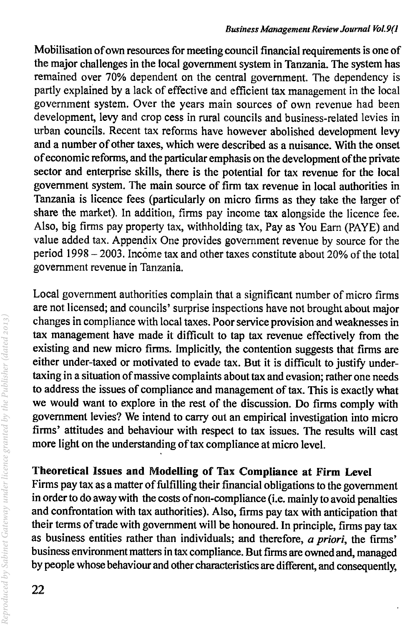Mobilisation of own resources for meeting council financial requirements is one of the major challenges in the local government system in Tanzania. The system has remained over 70% dependent on the central government. The dependency is partly explained by a lack of effective and efficient tax management in the local government system. Over the years main sources of own revenue had been development, levy and crop cess in rural councils and business-related levies in urban councils. Recent tax reforms have however abolished development levy and a number of other taxes, which were described as a nuisance. With the onset of economic reforms, and the particular emphasis on the development of the private sector and enterprise skills, there is the potential for tax revenue for the local government system. The main source of firm tax revenue in local authorities in Tanzania is licence fees (particularly on micro firms as they take the larger of share the market). In addition, firms pay income tax alongside the licence fee. Also, big firms pay property tax, withholding tax, Pay as You Earn (PAYE) and value added tax. Appendix One provides government revenue by source for the period 1998 - 2003. Income tax and other taxes constitute about 20% of the total government revenue in Tanzania.

Local government authorities complain that a significant number of micro firms are not licensed; and councils' surprise inspections have not brought about major changes in compliance with local taxes. Poor service provision and weaknesses in tax management have made it difficult to tap tax revenue effectively from the existing and new micro firms. Implicitly, the contention suggests that firms are either under-taxed or motivated to evade tax. But it is difficult to justify undertaxing in a situation of massive complaints about tax and evasion; rather one needs to address the issues of compliance and management of tax. This is exactly what we would want to explore in the rest of the discussion. Do firms comply with government levies? We intend to carry out an empirical investigation into micro firms' attitudes and behaviour with respect to tax issues. The results will cast more light on the understanding of tax compliance at micro level.

# Theoretical Issues and Modelling of Tax Compliance at Firm Level

Firms pay tax as a matter of fulfilling their financial obligations to the government in order to do away with the costs of non-compliance (i.e. mainly to avoid penalties and confrontation with tax authorities). Also, firms pay tax with anticipation that their terms of trade with government will be honoured. In principle, firms pay tax as business entities rather than individuals; and therefore, *a priori,* the firms' business environment matters in tax compliance. But firms are owned and, managed by people whose behaviour and other characteristics are different, and consequently,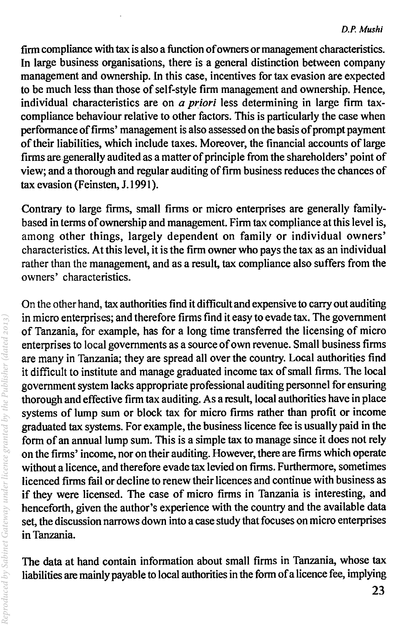firm compliance with tax is also a function of owners or management characteristics. In large business organisations, there is a general distinction between company management and ownership. In this case, incentives for tax evasion are expected to be much less than those of self-style firm management and ownership. Hence, individual characteristics are on  $a$  priori less determining in large firm taxcompliance behaviour relative to other factors. This is particularly the case when performance of firms' management is also assessed on the basis of prompt payment of their liabilities, which include taxes. Moreover, the financial accounts of large firms are generally audited as a matter of principle from the shareholders' point of view; and a thorough and regular auditing of firm business reduces the chances of tax evasion (Feinsten, J.1991).

Contrary to large firms, small firms or micro enterprises are generally familybased in terms of ownership and management. Firm tax compliance at this level is, among other things, largely dependent on family or individual owners' characteristics. At this level, it is the firm owner who pays the tax as an individual rather than the management, and as a result, tax compliance also suffers from the owners' characteristics.

On the other hand, tax authorities find it difficult and expensive to carry out auditing in micro enterprises; and therefore firms find it easy to evade tax. The government of Tanzania, for example, has for a long time transferred the licensing of micro enterprises to local governments as a source of own revenue. Small business firms are many in Tanzania; they are spread all over the country. Local authorities find it difficult to institute and manage graduated income tax of small firms. The local government system lacks appropriate professional auditing personnel for ensuring thorough and effective firm tax auditing. As a result, local authorities have in place systems of lump sum or block tax for micro firms rather than profit or income graduated tax systems. For example, the business licence fee is usually paid in the form of an annual lump sum. This is a simple tax to manage since it does not rely on the firms' income, nor on their auditing. However, there are firms which operate without a licence, and therefore evade tax levied on firms. Furthermore, sometimes licenced firms fail or decline to renew their licences and continue with business as if they were licensed. The case of micro firms in Tanzania is interesting, and henceforth, given the author's experience with the country and the available data set, the discussion narrows down into a case study that focuses on micro enterprises in Tanzania.

The data at hand contain information about small firms in Tanzania, whose tax liabilities are mainly payable to local authorities in the form of a licence fee, implying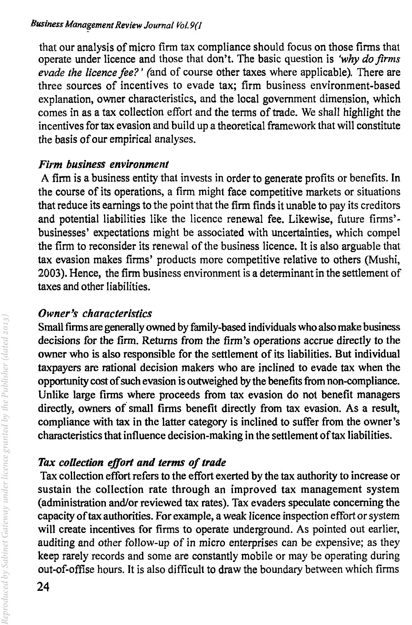that our analysis of micro firm tax compliance should focus on those firms that operate under licence and those that don't. The basic question is *'why do firms evade the licence fee?'* (and of course other taxes where applicable). There are three sources of incentives to evade tax; firm business environment-based explanation, owner characteristics, and the local government dimension, which comes in as a tax collection effort and the terms of trade. We shall highlight the incentives for tax evasion and build up a theoretical framework that will constitute the basis of our empirical analyses.

## *Firm business environment*

A firm is a business entity that invests in order to generate profits or benefits. In the course of its operations, a firm might face competitive markets or situations that reduce its earnings to the point that the firm finds it unable to pay its creditors and potential liabilities like the licence renewal fee. Likewise, future firms' businesses' expectations might be associated with uncertainties, which compel the firm to reconsider its renewal of the business licence. It is also arguable that tax evasion makes firms' products more competitive relative to others (Mushi, 2003). Hence, the firm business environment is a determinant in the settlement of taxes and other liabilities.

## *Owner's characteristics*

Small firms are generally owned by family-based individuals who also make business decisions for the firm. Returns from the firm's operations accrue directly to the owner who is also responsible for the settlement of its liabilities. But individual taxpayers are rational decision makers who are inclined to evade tax when the opportunity cost of such evasion is outweighed by the benefits from non-compliance. Unlike large firms where proceeds from tax evasion do not benefit managers directly, owners *ot* small firms benefit directly from tax evasion. As a result, compliance with tax in the latter category is inclined to suffer from the owner's characteristics that influence decision-making in the settlement of tax liabilities.

## *Tax collection effort and terms of trade*

Tax collection effort refers to the effort exerted by the tax authority to increase or sustain the collection rate through an improved tax management system (administration and/or reviewed tax rates). Tax evaders speculate concerning the capacity of tax authorities. For example, a weak licence inspection effort or system will create incentives for firms to operate underground. As pointed out earlier, auditing and other follow-up of in micro enterprises can be expensive; as they keep rarely records and some are constantly mobile or may be operating during out-of-offise hours. It is also difficult to draw the boundary between which firms

24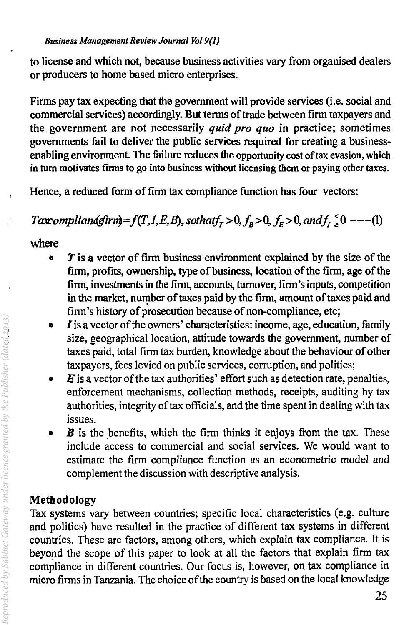to license and which not, because business activities vary from organised dealers or producers to home based micro enterprises.

Firms pay tax expecting that the government will provide services (i.e. social and commercial services) accordingly. But terms of trade between firm taxpayers and the government are not necessarily *quid pro quo* in practice; sometimes governments fail to deliver the public services required for creating a businessenabling environment. The failure reduces the opportunity cost oftax evasion, which in tum motivates firms to go into business without licensing them or paying other taxes.

Hence, a reduced form of firm tax compliance function has four vectors:

*Taxomplian(girm)*= $f(T, I, E, B)$ , sothat $f<sub>r</sub> > 0$ ,  $f<sub>n</sub> > 0$ ,  $f<sub>n</sub> > 0$ , and  $f<sub>1</sub> <sup>0</sup>$  ---(1)

## where

- $T$  is a vector of firm business environment explained by the size of the firm, profits, ownership, type of business, location of the firm, age of the firm, investments in the firm, accounts, turnover, firm's inputs, competition in the market, number of taxes paid by the firm, amount of taxes paid and firm's history of prosecution because of non-compliance, etc;
- *is a vector of the owners' characteristics: income, age, education, family* size, geographical location, attitude towards the government, number of taxes paid, total firm tax burden, knowledge about the behaviour of other taxpayers, fees levied on public services, corruption, and politics;
- $\boldsymbol{E}$  is a vector of the tax authorities' effort such as detection rate, penalties, enforcement mechanisms, collection methods, receipts, auditing by tax authorities, integrity of tax officials, and the time spent in dealing with tax issues.
- $\boldsymbol{B}$  is the benefits, which the firm thinks it enjoys from the tax. These include access to commercial and social services. We would want to estimate the firm compliance function as an econometric model and complement the discussion with descriptive analysis.

# Methodology

Tax systems vary between countries; specific local characteristics (e.g. culture and politics) have resulted in the practice of different tax systems in different countries. These are factors, among others, which explain tax compliance. It is beyond the scope of this paper to look at all the factors that explain firm tax compliance in different countries. Our focus is, however, on tax compliance in micro firms in Tanzania. The choice ofthe country is based on the local knowledge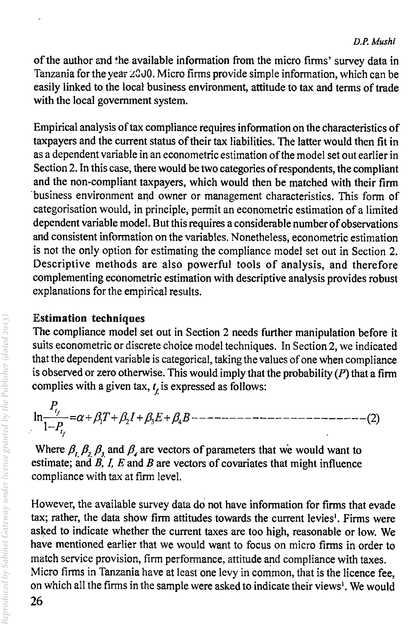of the author and the available information from the micro firms' survey data in Tanzania for the year 2QJO. Micro firms provide simple information, which can be easily linked to the local business environment, attitude to tax and terms of trade with the local government system.

Empirical analysis of tax compliance requires information on the characteristics of taxpayers and the current status of their tax liabilities. The latter would then fit in as a dependent variable in an econometric estimation ofthe model set out earlier in Section 2. In this case, there would be two categories of respondents, the compliant and the non-compliant taxpayers, which would then be matched with their firm 'business environment and owner or management characteristics. This form of categorisation would, in principle, permit an econometric estimation of a limited dependent variable model. But this requires a considerable number of observations and consistent information on the variables. Nonetheless, econometric estimation is not the only option for estimating the compliance model set out in Section 2. Descriptive methods are also powerful tools of analysis, and therefore complementing econometric estimation with descriptive analysis provides robust explanations for the empirical results.

## Estimation techniques

The compliance model set out in Section 2 needs further manipulation before it suits econometric or discrete choice model techniques. In Section 2, we indicated that the dependent variable is categorical, taking the values of one when compliance is observed or zero otherwise. This would imply that the probability  $(P)$  that a firm complies with a given tax,  $t_r$  is expressed as follows:

*P,* Inl\_~ =a+ AT + f3i + f33E+ f34B-----------------------(2) . If

Where  $\beta_1$ ,  $\beta_2$ ,  $\beta_3$  and  $\beta_4$  are vectors of parameters that we would want to estimate; and  $\vec{B}$ ,  $\vec{l}$ ,  $\vec{E}$  and  $\vec{B}$  are vectors of covariates that might influence compliance with tax at firm level.

However, the available survey data do not have information for firms that evade tax; rather, the data show firm attitudes towards the current levies<sup>1</sup>. Firms were asked to indicate whether the current taxes are too high, reasonable or low. We have mentioned earlier that we would want to focus on micro firms in order to match service provision, firm performance, attitude and compliance with taxes. Micro firms in Tanzania have at least one levy in common, that is the licence fee, on which all the firms in the sample were asked to indicate their views<sup>1</sup>. We would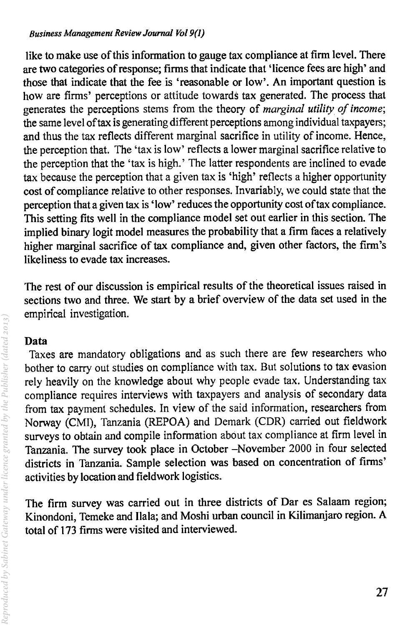#### *Business Management Review Journal VoI9(J)*

like to make use of this information to gauge tax compliance at firm level. There are two categories of response; firms that indicate that' licence fees are high' and those that indicate that the fee is 'reasonable or low'. An important question is how are firms' perceptions or attitude towards tax generated. The process that generates the perceptions stems from the theory of *marginal utility of income;*  the same level of tax is generating different perceptions among individual taxpayers; and thus the tax reflects different marginal sacrifice in utility of income. Hence, the perception that. The 'tax is low' reflects a lower marginal sacrifice relative to the perception that the 'tax is high.' The latter respondents are inclined to evade tax because the perception that a given tax is 'high' reflects a higher opportunity cost of compliance relative to other responses. Invariably, we could state that the perception that a given tax is 'low' reduces the opportunity cost of tax compliance. This setting fits well in the compliance model set out earlier in this section. The implied binary logit model measures the probability that a firm faces a relatively higher marginal sacrifice of tax compliance and, given other factors, the firm's likeliness to evade tax increases.

The rest of our discussion is empirical results of the theoretical issues raised in sections two and three. We start by a brief overview of the data set used in the empirical investigation.

## Data

Taxes are mandatory obligations and as such there are few researchers who bother to carry out studies on compliance with tax. But solutions to tax evasion rely heavily on the knowledge about why people evade tax. Understanding tax compliance requires interviews with taxpayers and analysis of secondary data from tax payment schedules. In view of the said information, researchers from Norway (CMI), Tanzania (REPOA) and Demark (CDR) carried out fieldwork surveys to obtain and compile information about tax compliance at firm level in Tanzania. The survey took place in October -November 2000 in four selected districts in Tanzania. Sample selection was based on concentration of firms' activities by location and fieldwork logistics.

The firm survey was carried out in three districts of Dar es Salaam region; Kinondoni, Temeke and Ilala; and Moshi urban council in Kilimanjaro region. A total of 173 firms were visited and interviewed.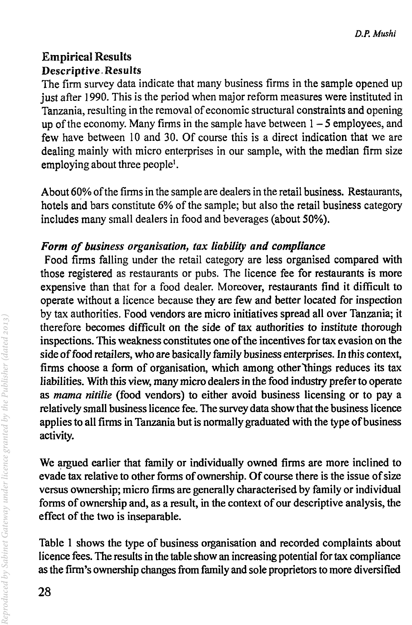# Empirical Results Descriptive. Results

The firm survey data indicate that many business firms in the sample opened up just after 1990. This is the period when major reform measures were instituted in Tanzania, resulting in the removal of economic structural constraints and opening up of the economy. Many firms in the sample have between  $1 - 5$  employees, and few have between 10 and 30. Of course this is a direct indication that we are dealing mainly with micro enterprises in our sample, with the median firm size employing about three people<sup>1</sup>.

About 60% of the firms in the sample are dealers in the retail business. Restaurants, hotels and bars constitute 6% of the sample; but also the retail business category includes many small dealers in food and beverages (about 50%).

## *Form of business organisation, tax liability and compliance*

Food firms falling under the retail category are less organised compared with those registered as restaurants or pubs. The licence fee for restaurants is more expensive than that for a food dealer. Moreover, restaurants find it difficult to operate without a licence because they are few and better located for inspection by tax authorities. Food vendors are micro initiatives spread all over Tanzania; it therefore becomes difficult on the side of tax authorities to institute thorough inspections. This weakness constitutes one of the incentives for tax evasion on the side of food retailers, who are basically family business enterprises. In this context, firms choose a form of organisation, which among other things reduces its tax liabilities. With this view, many micro dealers in the food industry prefer to operate as *mama nitilie* (food vendors) to either avoid business licensing or to pay a relatively small business licence fee. The survey data show that the business licence applies to all firms in Tanzania but is normally graduated with the type of business activity.

We argued earlier that family or individually owned firms are more inclined to evade tax relative to other forms of ownership. Of course there is the issue of size versus ownership; micro firms are generally characterised by family or individual forms of ownership and, as a result, in the context of our descriptive analysis, the effect of the two is inseparable.

Table I shows the type of business organisation and recorded complaints about licence fees. The results in the table show an increasing potential for tax compliance as the firm's ownership changes from family and sole proprietors to more diversified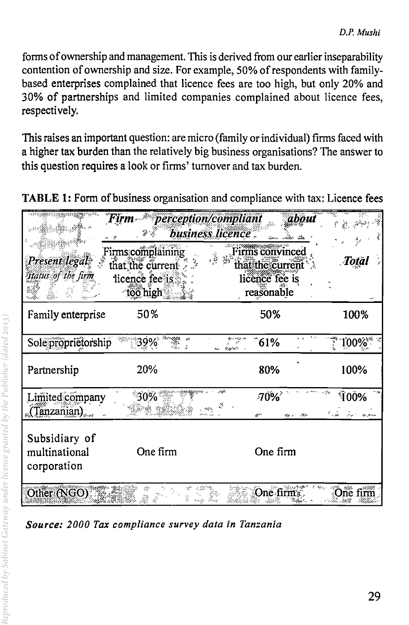forms of ownership and management. This is derived from our earlier inseparability contention of ownership and size. For example, 50% of respondents with familybased enterprises complained that licence fees are too high, but only 20% and 30% of partnerships and limited companies complained about licence fees, respecti vely.

This raises an important question: are micro (family or individual) firms faced with a higher tax burden than the relatively big business organisations? The answer to this question requires a look or firms' turnover and tax burden.

**TABLE 1:** Form of business organisation and compliance with tax: Licence fees

|                                               | perception/compliant<br>business licence .                         |                                                                     |              |
|-----------------------------------------------|--------------------------------------------------------------------|---------------------------------------------------------------------|--------------|
| Present legal<br>status of the firm           | Firmscomplaining<br>that the current<br>licence fee is<br>töö high | Firms convinced<br>that the current<br>licence fee is<br>reasonable | Totàl        |
| Family enterprise                             | 50%                                                                | 50%                                                                 | 100%         |
| Sole proprietorship                           |                                                                    | 61%                                                                 | 1'00%        |
| Partnership                                   | 20%                                                                | 80%                                                                 | 100%         |
| Limited company<br>Tanzañian)                 | 30%                                                                | 70%<br>He en<br>べく                                                  | <b>*î00%</b> |
| Subsidiary of<br>multinational<br>corporation | One firm                                                           | One firm                                                            |              |
| Other (NGO)                                   |                                                                    | One firm                                                            |              |

*Source: 2000 Tax compliance survey data in Tanzania*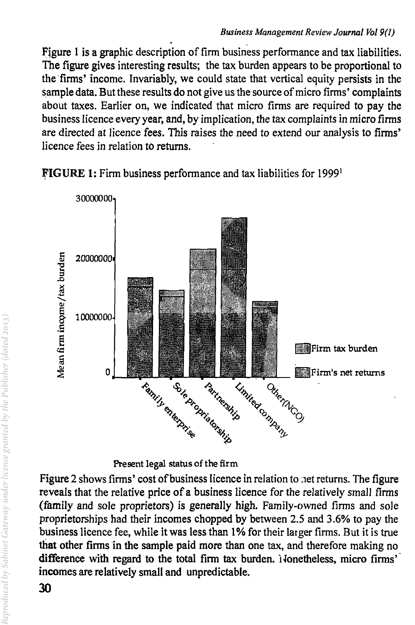Figure 1 is a graphic description of firm business performance and tax liabilities. The figure gives interesting results; the tax burden appears to be proportional to the firms' income. Invariably, we could state that vertical equity persists in the sample data. But these results do not give us the source of micro firms' complaints about taxes. Earlier on, we indicated that micro firms are required to pay the business licence every year, and, by implication, the tax complaints in micro firms are directed at licence fees. This raises the need to extend our analysis to firms' licence fees in relation to returns.

FIGURE 1: Firm business performance and tax liabilities for 1999<sup>1</sup>



Present legal status of the firm

Figure 2 shows firms' cost of business licence in relation to net returns. The figure reveals that the relative price of a business licence for the relatively small firms (family and sole proprietors) is generally high. Family-owned firms and sole proprietorships had their incomes chopped by between 2.5 and 3.6% to pay the business licence fee, while it was less than 1 % for their larger firms. But it is true that other firms in the sample paid more than one tax, and therefore making no difference with regard to the total firm tax burden. Nonetheless, micro firms' incomes are relatively small and unpredictable.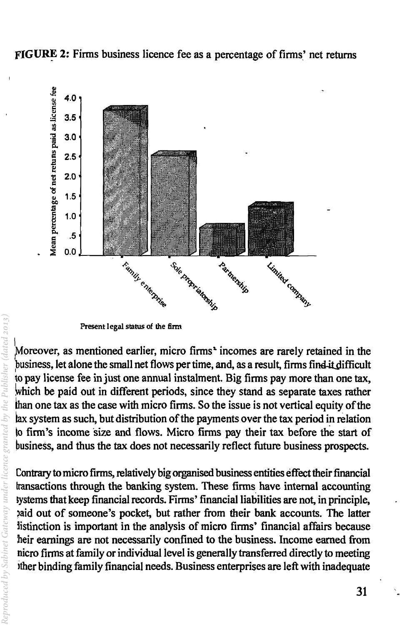FIGURE 2: Firms business licence fee as a percentage of firms' net returns



Present legal status of the firm

I Moreover, as mentioned earlier, micro firms<sup>\*</sup> incomes are rarely retained in the business, let alone the small net flows per time, and, as a result, firms find-it difficult to pay license fee in just one annual instalment. Big firms pay more than one tax, which be paid out in different periods, since they stand as separate taxes rather than one tax as the case with micro firms. So the issue is not vertical equity of the lax system as such, but distribution of the payments over the tax period in relation to firm's income size and flows. Micro firms pay their tax before the start of business, and thus the tax does not necessarily reflect future business prospects.

Contrary to micro firms, relatively big organised business entities effect their financial transactions through the banking system. These firms have internal accounting Iystems that keep financial records. Firms' financial liabilities are not, in principle, )aid out of someone's pocket, but rather from their bank accounts. The latter 1istinction is important in the analysis of micro firms' financial affairs because heir earnings are not necessarily confined to the business. Income earned from nicro finns at family or individual level is generally transferred directly to meeting ither binding family financial needs. Business enterprises are left with inadequate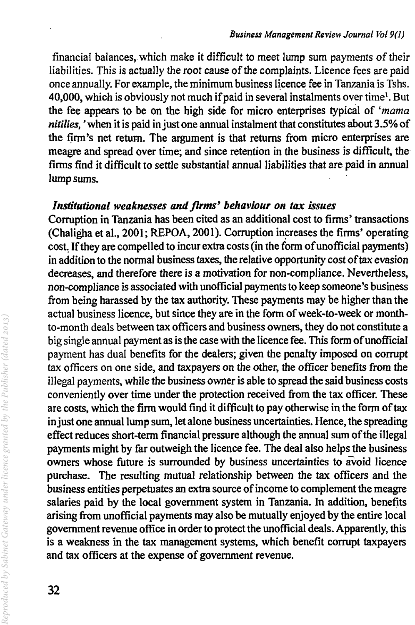financial balances, which make it difficult to meet lump sum payments of their liabilities. This is actually the root cause of the complaints. Licence fees are paid once annually. For example, the minimum business licence fee in Tanzania is Tshs. 40,000, which is obviously not much if paid in several instalments over time<sup>1</sup>. But the fee appears to be on the high side for micro enterprises typical of *'mama nililies,* 'when it is paid in just one annual instalment that constitutes about 3.5% of the firm's net return. The argument is that returns from micro enterprises are meagre and spread over time; and since retention in the business is difficult, the firms find it difficult to settle substantial annual liabilities that are paid in annual lump sums.

#### *Institutional weaknesses and fums' behaviour on tax issues*

Corruption in Tanzania has been cited as an additional cost to firms' transactions (Chaligha et ai., 2001; REPOA, 2001). Corruption increases the firms' operating cost. If they are compelled to incur extra costs (in the form of unofficial payments) in addition to the normal business taxes, the relative opportunity cost of tax evasion decreases, and therefore there is a motivation for non-compliance. Nevertheless, non-compliance is associated with unofficial payments to keep someone's business from being harassed by the tax authority. These payments may be higher than the actual business licence, but since they are in the form of week-to-week or monthto-month deals between tax officers and business owners, they do not constitute a big single annual payment as is the case with the licence fee. This form of unofficial payment has dual benefits for the dealers; given the penalty imposed on corrupt tax officers on one side, and taxpayers on the other, the officer benefits from the illegal payments, while the business owner is able to spread the said business costs conveniently over time under the protection received from the tax officer. These are costs, which the firm would find it difficult to pay otherwise in the form of tax in just one annual lump sum, let alone business uncertainties. Hence, the spreading effect reduces short-term financial pressure although the annual sum of the illegal payments might by far outweigh the licence fee. The deal also helps the business owners whose future is surrounded by business uncertainties to avoid licence purchase. The resulting mutual relationship between the tax officers and the business entities perpetuates an extra source of income to complement the meagre salaries paid by the local government system in Tanzania. In addition, benefits arising from unofficial payments may also be mutually enjoyed by the entire local government revenue office in order to protect the unofficial deals. Apparently, this is a weakness in the tax management systems, which benefit corrupt taxpayers and tax officers at the expense of government revenue.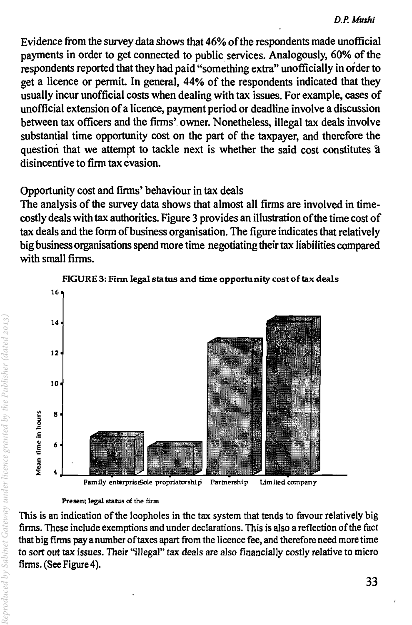Evidence from the survey data shows that 46% of the respondents made unofficial payments in order to get connected to public services. Analogously, 60% of the respondents reported that they had paid "something extra" unofficially in order to get a licence or permit. In general, 44% of the respondents indicated that they usually incur unofficial costs when dealing with tax issues. For example, cases of unofficial extension of a licence, payment period or deadline involve a discussion between tax officers and the firms'. owner. Nonetheless, illegal tax deals involve substantial time opportunity cost on the part of the taxpayer, and therefore the question that we attempt to tackle next is whether the said cost constitutes à disincentive to firm tax evasion.

## Opportunity cost and firms' behaviour in tax deals

The analysis of the survey data shows that almost all firms are involved in timecostly deals with tax authorities. Figure 3 provides an illustration ofthe time cost of tax deals and the form of business organisation. The figure indicates that relatively big business organisations spend more time negotiating their tax liabilities compared with small firms.



FIGURE 3: Firm legal sta tus and time opportunity cost of tax deals

This is an indication of the loopholes in the tax system that tends to favour relatively big firms. These include exemptions and under declarations. This is also a reflection ofthe fact that big firms pay a number of taxes apart from the licence fee, and therefore need more time to sort out tax issues. Their "illegal" tax deals are also financially costly relative to micro firms. (See Figure 4).

Present legal status of the firm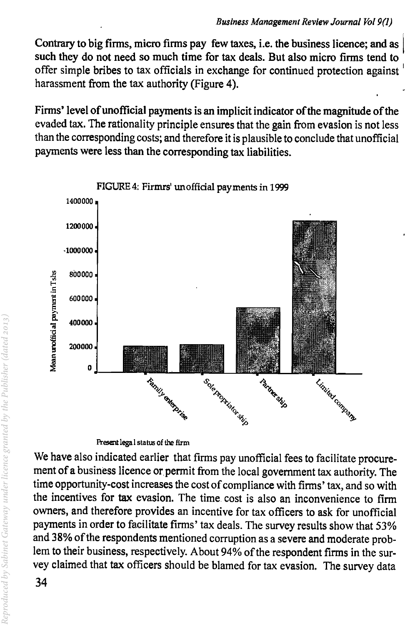Contrary to big firms, micro firms pay few taxes, i.e. the business licence; and as such they do not need so much time for tax deals. But also micro firms tend to offer simple bribes to tax officials in exchange for continued protection against <sup>I</sup> harassment from the tax authority (Figure 4).

Finns' level of unofficial payments is an implicit indicator of the magnitude of the evaded tax. The rationality principle ensures that the gain from evasion is not less than the corresponding costs; and therefore it is plausible to conclude that unofficial payments were less than the corresponding tax liabilities.



Present lega 1 status of the firm

We have also indicated earlier that firms pay unofficial fees to facilitate procurement of a business licence or permit from the local government tax authority. The time opportunity-cost increases the cost of compliance with firms' tax, and so with the incentives for tax evasion. The time cost is also an inconvenience to finn owners, and therefore provides an incentive for tax officers to ask for unofficial payments in order to facilitate firms' tax deals. The survey results show that 53% and 38% of the respondents mentioned corruption as a severe and moderate problem to their business, respectively. About 94% of the respondent firms in the survey claimed that tax officers should be blamed for tax evasion. The survey data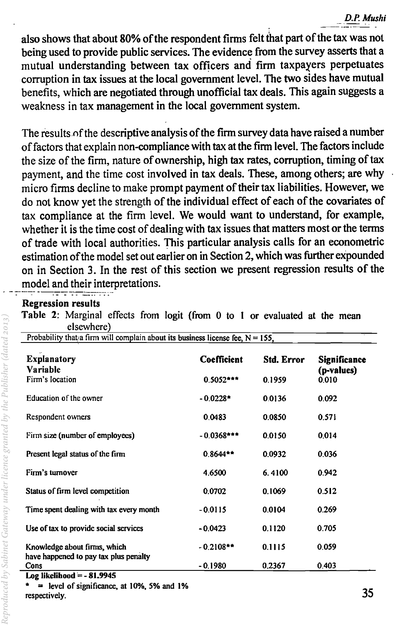also shows that about 80% of the respondent firms felt that part of the tax was not being used to provide public services. The evidence from the survey asserts that a mutual understanding between tax officers and firm taxpayers perpetuates corruption in tax issues at the local government level. The two sides have mutual benefits, which are negotiated through unofficial tax deals. This again suggests a weakness in tax management in the local government system.

The results of the descriptive analysis of the firm survey data have raised a number of factors that explain non-compliance with tax at the finn level. The factors include the size of the firm, nature of ownership, high tax rates, corruption, timing of tax payment, and the time cost involved in tax deals. These, among others; are why micro finns decline to make prompt payment of their tax liabilities. However, we do not know yet the strength of the individual effect of each of the covariates of tax compliance at the firm level. We would want to understand, for example, whether it is the time cost of dealing with tax issues that matters most or the terms of trade with local authorities. This particular analysis calls for an econometric estimation of the model set out earlier on in Section 2, which was further expounded on in Section 3. In the rest of this section we present regression results of the model and their interpretations.

#### Regression results

Table 2: Marginal effects from logit (from 0 to I or evaluated at the mean elsewhere)

| Probability that/a firm will complain about its business license fee, $N = 155$ , |              |            |                            |  |  |
|-----------------------------------------------------------------------------------|--------------|------------|----------------------------|--|--|
| <b>Explanatory</b><br>Variable                                                    | Coefficient  | Std. Error | Significance<br>(p-values) |  |  |
| Firm's location                                                                   | $0.5052***$  | 0.1959     | 0.010                      |  |  |
| Education of the owner                                                            | $-0.0228*$   | 0.0136     | 0.092                      |  |  |
| Respondent owners                                                                 | 0.0483       | 0.0850     | 0.571                      |  |  |
| Firm size (number of employees)                                                   | $-0.0368***$ | 0.0150     | 0.014                      |  |  |
| Present legal status of the firm                                                  | $0.8644**$   | 0.0932     | 0.036                      |  |  |
| Firm's turnover                                                                   | 4.6500       | 6.4100     | 0.942                      |  |  |
| Status of firm level competition                                                  | 0.0702       | 0.1069     | 0.512                      |  |  |
| Time spent dealing with tax every month                                           | $-0.0115$    | 0.0104     | 0.269                      |  |  |
| Use of tax to provide social services                                             | $-0.0423$    | 0.1120     | 0.705                      |  |  |
| Knowledge about firms, which<br>have happened to pay tax plus penalty             | $-0.2108**$  | 0.1115     | 0.059                      |  |  |
| Cons                                                                              | $-0.1980$    | 0.2367     | 0.403                      |  |  |
| $Log likelihood = -81.9945$                                                       |              |            |                            |  |  |
| $\approx$ level of significance, at 10%, 5% and 1%                                |              |            |                            |  |  |

 $\emph{produced by Sabinet Gateway under licence granted by the Publisher (dated 2013) }$ *Reproduced by Sabinet Gateway under licence granted by the Publisher (dated 2013)*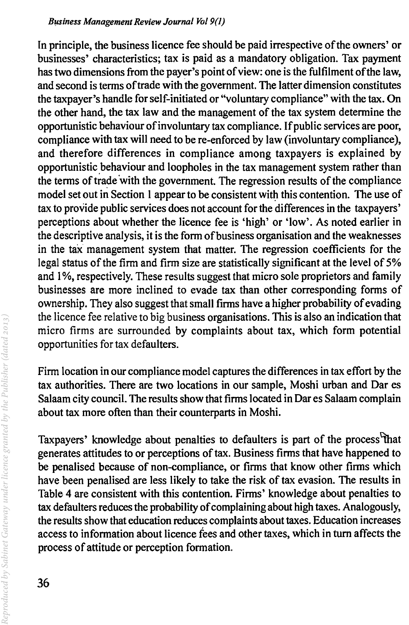#### *Business Management Review Journal Vol 9(1)*

In principle, the business licence fee should be paid irrespective of the owners' or businesses' characteristics; tax is paid as a mandatory obligation. Tax payment has two dimensions from the payer's point of view: one is the fulfilment of the law, and second is terms of trade with the government. The latter dimension constitutes the taxpayer's handle for self-initiated or ''voluntary compliance" with the tax. On the other hand, the tax law and the management of the tax system determine the opportunistic behaviour ofinvoluntary tax compliance. If public services are poor, compliance with tax will need to be re-enforced by law (involuntary compliance), and therefore differences in compliance among taxpayers is explained by opportunistic behaviour and loopholes in the tax management system rather than the terms of trade 'with the government. The regression results of the compliance model set out in Section 1 appear to be consistent with this contention. The use of tax to provide public services does not account for the differences in the taxpayers' perceptions about whether the licence fee is 'high' or 'low'. As noted earlier in the descriptive analysis, it is the form of business organisation and the weaknesses in the tax management system that matter. The regression coefficients for the legal status of the firm and firm size are statistically significant at the level of 5% and 1%, respectively. These results suggest that micro sole proprietors and family businesses are more inclined to evade tax than other corresponding forms of ownership. They also suggest that small firms have a higher probability of evading the licence fee relative to big business organisations. This is also an indication that micro firms are surrounded by complaints about tax, which form potential opportunities for tax defaulters.

Firm location in our compliance model captures the differences in tax effort by the tax authorities. There are two locations in our sample, Moshi urban and Dar es Salaam city council. The results show that firms located in Dar es Salaam complain about tax more often than their counterparts in Moshi.

Taxpayers' knowledge about penalties to defaulters is part of the process that generates attitudes to or perceptions of tax. Business firms that have happened to be penalised because of non-compliance, or firms that know other firms which have been penalised are less likely to take the risk of tax evasion. The results in Table 4 are consistent with this contention. Firms' knowledge about penalties to tax defaulters reduces the probability of complaining about high taxes. Analogously, the results show that education reduces complaints about taxes. Education increases access to information about licence fees and other taxes, which in turn affects the process of attitude or perception formation.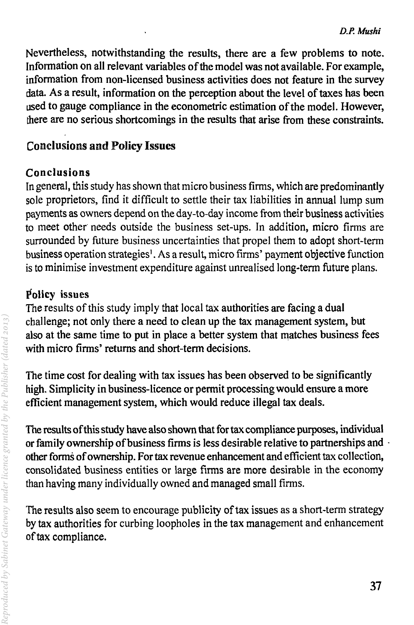Nevertheless, notwithstanding the results, there are a few problems to note. Information on all relevant variables of the model was not available. For example, information from non-licensed business activities does not feature in the survey data. As a result, information on the perception about the level of taxes has been used to gauge compliance in the econometric estimation of the model. However, there are no serious shortcomings in the results that arise from these constraints.

# Conclusions and Policy Issues

## Conclusions

In general, this study has shown that micro business firms, which are predominantly sole proprietors, find it difficult to settle their tax liabilities in annual lump sum payments as owners depend on the day-to-day income from their business activities to meet other needs outside the business set-ups. In addition, micro firms are surrounded by future business uncertainties that propel them to adopt short-term business operation strategies<sup>1</sup>. As a result, micro firms' payment objective function is to minimise investment expenditure against unrealised long-term future plans.

## Policy issues

The results of this study imply that local tax authorities are facing a dual challenge; not only there a need to clean up the tax management system, but also at the same time to put in place a better system that matches business fees with micro firms' returns and short-term decisions.

The time cost for dealing with tax issues has been observed to be significantly high. Simplicity in business-licence or permit processing would ensure a more efficient management system, which would reduce illegal tax deals.

The results of this study have also shown that for tax compliance purposes, individual or family ownership of business firms is less desirable relative to partnerships and . other forms of ownership. For tax revenue enhancement and efficient tax collection, consolidated business entities or large firms are more desirable in the economy than having many individually owned and managed small firms.

The results also seem to encourage publicity of tax issues as a short-term strategy by tax authorities for curbing loopholes in the tax management and enhancement of tax compliance.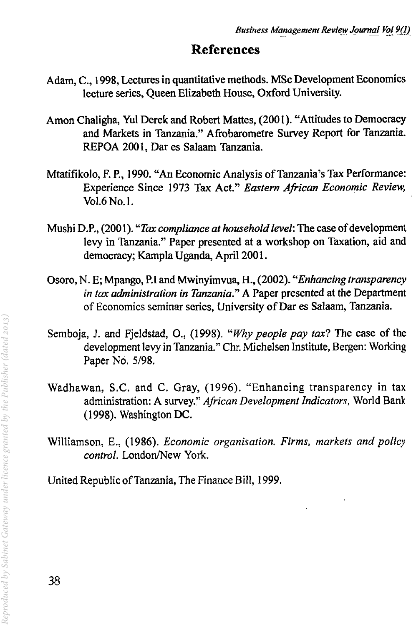# **References**

- Adam, C., 1998, Lectures in quantitative methods. MSc Development Economics lecture series, Queen Elizabeth House, Oxford University.
- Amon Chaligha, Yul Derek and Robert Mattes, (200 I). "Attitudes to Democracy and Markets in Tanzania." Afrobarometre Survey Report for Tanzania. REPOA 2001, Dar es Salaam Tanzania.
- Mtatifikolo, F. P., 1990. "An Economic Analysis of Tanzania's Tax Performance: Experience Since 1973 Tax Act." *Eastern African Economic Review,*  VoI.6No.l.
- Mushi D.P., (2001). "Tax compliance at household level: The case of development levy in Tanzania." Paper presented at a workshop on Taxation, aid and democracy; Kampla Uganda, April 2001.
- Osoro, N. E; Mpango, P.I and Mwinyimvua, H., (2002). *"Enhancing transparency in tax administration in Tanzania."* A Paper presented at the Department of Economics seminar series, University of Dar es Salaam, Tanzania.
- Semboja, J. and Fjeldstad, 0., (1998). *"Why people pay tax?* The case of the development levy in Tanzania." Chr. Michelsen Institute, Bergen: Working Paper No. 5/98.
- Wadhawan, S.C. and C. Gray, (1996). "Enhancing transparency in tax administration: A survey.~' *African Development Indicators,* World Bank (1998). Washington DC.
- Williamson, E., (1986). *Economic organisation. Firms, markets and policy control.* London/New York.

United Republic of Tanzania, The Finance Bill, 1999.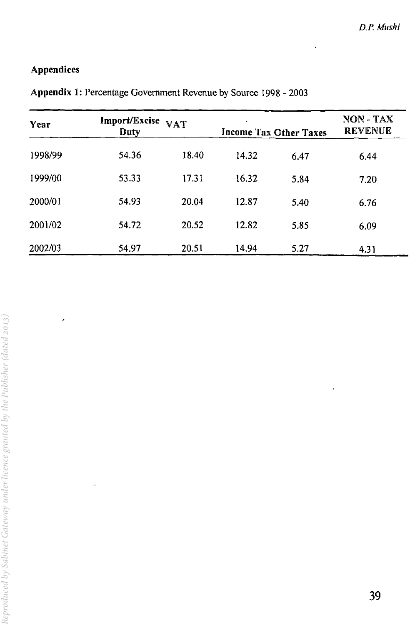$\ddot{\phantom{1}}$ 

#### Appendices

 $\cdot$ 

| Import/Excise<br><b>VAT</b><br>Year<br>Duty |       | Income Tax Other Taxes |       | NON - TAX<br><b>REVENUE</b> |      |
|---------------------------------------------|-------|------------------------|-------|-----------------------------|------|
| 1998/99                                     | 54.36 | 18.40                  | 14.32 | 6.47                        | 6.44 |
| 1999/00                                     | 53.33 | 17.31                  | 16.32 | 5.84                        | 7.20 |
| 2000/01                                     | 54.93 | 20.04                  | 12.87 | 5.40                        | 6.76 |
| 2001/02                                     | 54.72 | 20.52                  | 12.82 | 5.85                        | 6.09 |
| 2002/03                                     | 54.97 | 20.51                  | 14.94 | 5.27                        | 4.31 |

Appendix 1: Percentage Government Revenue by Source 1998 - 2003